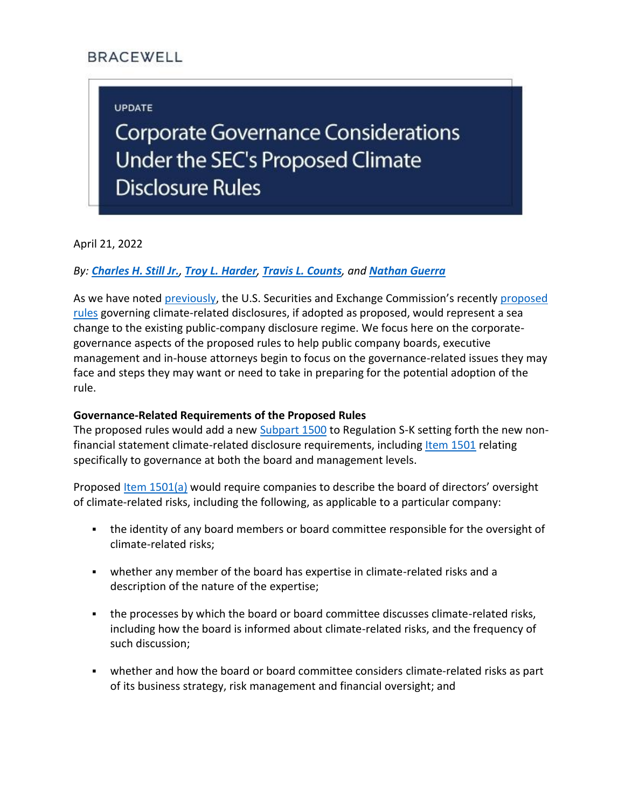# **BRACEWELL**

## **UPDATE**

**Corporate Governance Considerations** Under the SEC's Proposed Climate **Disclosure Rules** 

April 21, 2022

### *By: [Charles H. Still Jr.](https://bracewell.com/people/charles-h-still-jr), [Troy L. Harder](https://bracewell.com/people/troy-l-harder), [Travis L. Counts](https://bracewell.com/people/travis-l-counts), and [Nathan Guerra](https://bracewell.com/people/nathan-guerra)*

As we have noted [previously](https://bracewell.com/sec-climate-disclosure-proposal), the U.S. Securities and Exchange Commission's recently proposed [rules](https://www.sec.gov/rules/proposed/2022/33-11042.pdf) governing climate-related disclosures, if adopted as proposed, would represent a sea change to the existing public-company disclosure regime. We focus here on the corporategovernance aspects of the proposed rules to help public company boards, executive management and in-house attorneys begin to focus on the governance-related issues they may face and steps they may want or need to take in preparing for the potential adoption of the rule.

#### **Governance-Related Requirements of the Proposed Rules**

The proposed rules would add a new [Subpart 1500](https://www.federalregister.gov/documents/2022/04/11/2022-06342/the-enhancement-and-standardization-of-climate-related-disclosures-for-investors#sectno-reference-229.1500) to Regulation S-K setting forth the new non-financial statement climate-related disclosure requirements, including [Item 1501](https://www.federalregister.gov/documents/2022/04/11/2022-06342/the-enhancement-and-standardization-of-climate-related-disclosures-for-investors#sectno-reference-229.1501) relating specifically to governance at both the board and management levels.

Proposed [Item 1501\(a\)](https://www.federalregister.gov/d/2022-06342/p-2271) would require companies to describe the board of directors' oversight of climate-related risks, including the following, as applicable to a particular company:

- the identity of any board members or board committee responsible for the oversight of climate-related risks;
- whether any member of the board has expertise in climate-related risks and a description of the nature of the expertise;
- . the processes by which the board or board committee discusses climate-related risks, including how the board is informed about climate-related risks, and the frequency of such discussion;
- whether and how the board or board committee considers climate-related risks as part of its business strategy, risk management and financial oversight; and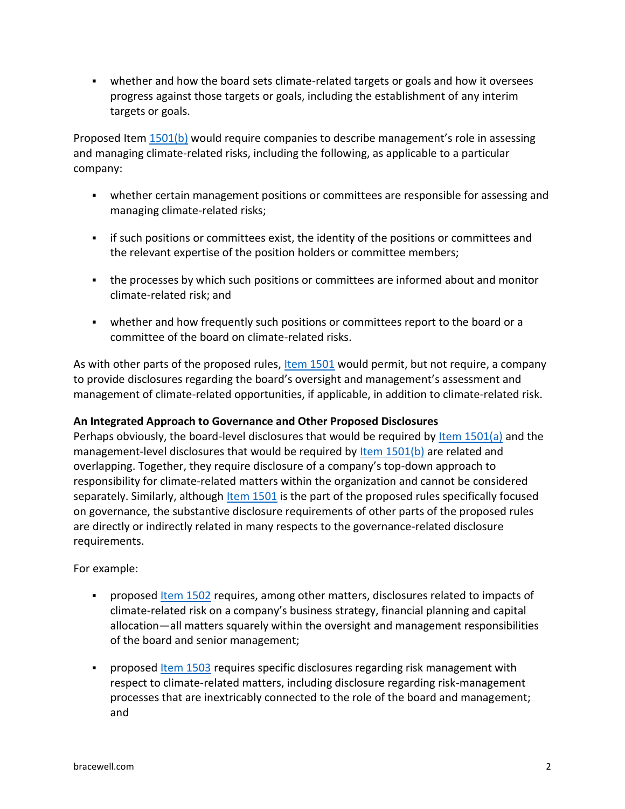▪ whether and how the board sets climate-related targets or goals and how it oversees progress against those targets or goals, including the establishment of any interim targets or goals.

Proposed Item [1501\(b\)](https://www.federalregister.gov/d/2022-06342/p-2278) would require companies to describe management's role in assessing and managing climate-related risks, including the following, as applicable to a particular company:

- **•** whether certain management positions or committees are responsible for assessing and managing climate-related risks;
- **•** if such positions or committees exist, the identity of the positions or committees and the relevant expertise of the position holders or committee members;
- the processes by which such positions or committees are informed about and monitor climate-related risk; and
- whether and how frequently such positions or committees report to the board or a committee of the board on climate-related risks.

As with other parts of the proposed rules, [Item 1501](https://www.federalregister.gov/documents/2022/04/11/2022-06342/the-enhancement-and-standardization-of-climate-related-disclosures-for-investors#sectno-reference-229.1501) would permit, but not require, a company to provide disclosures regarding the board's oversight and management's assessment and management of climate-related opportunities, if applicable, in addition to climate-related risk.

## **An Integrated Approach to Governance and Other Proposed Disclosures**

Perhaps obviously, the board-level disclosures that would be required by [Item 1501\(a\)](https://www.federalregister.gov/d/2022-06342/p-2271) and the management-level disclosures that would be required by [Item 1501\(b\)](https://www.federalregister.gov/d/2022-06342/p-2278) are related and overlapping. Together, they require disclosure of a company's top-down approach to responsibility for climate-related matters within the organization and cannot be considered separately. Similarly, although [Item 1501](https://www.federalregister.gov/documents/2022/04/11/2022-06342/the-enhancement-and-standardization-of-climate-related-disclosures-for-investors#sectno-reference-229.1501) is the part of the proposed rules specifically focused on governance, the substantive disclosure requirements of other parts of the proposed rules are directly or indirectly related in many respects to the governance-related disclosure requirements.

For example:

- **•** proposed [Item 1502](https://www.federalregister.gov/documents/2022/04/11/2022-06342/the-enhancement-and-standardization-of-climate-related-disclosures-for-investors#sectno-reference-229.1502) requires, among other matters, disclosures related to impacts of climate-related risk on a company's business strategy, financial planning and capital allocation—all matters squarely within the oversight and management responsibilities of the board and senior management;
- **•** proposed **[Item 1503](https://www.federalregister.gov/documents/2022/04/11/2022-06342/the-enhancement-and-standardization-of-climate-related-disclosures-for-investors#sectno-reference-229.1503)** requires specific disclosures regarding risk management with respect to climate-related matters, including disclosure regarding risk-management processes that are inextricably connected to the role of the board and management; and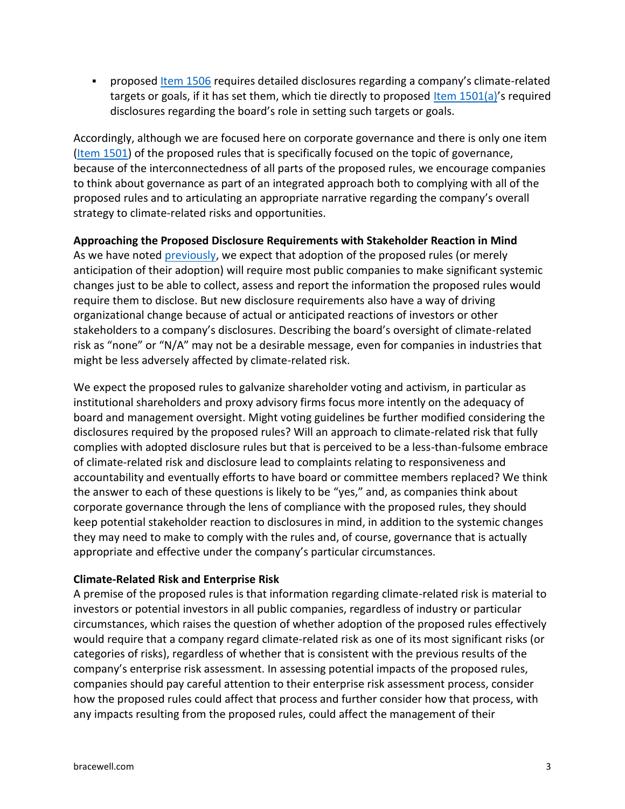**•** proposed [Item 1506](https://www.federalregister.gov/documents/2022/04/11/2022-06342/the-enhancement-and-standardization-of-climate-related-disclosures-for-investors#sectno-reference-229.1506) requires detailed disclosures regarding a company's climate-related targets or goals, if it has set them, which tie directly to proposed [Item 1501\(a\)](https://www.federalregister.gov/d/2022-06342/p-2271)'s required disclosures regarding the board's role in setting such targets or goals.

Accordingly, although we are focused here on corporate governance and there is only one item [\(Item 1501\)](https://www.federalregister.gov/documents/2022/04/11/2022-06342/the-enhancement-and-standardization-of-climate-related-disclosures-for-investors#sectno-reference-229.1501) of the proposed rules that is specifically focused on the topic of governance, because of the interconnectedness of all parts of the proposed rules, we encourage companies to think about governance as part of an integrated approach both to complying with all of the proposed rules and to articulating an appropriate narrative regarding the company's overall strategy to climate-related risks and opportunities.

**Approaching the Proposed Disclosure Requirements with Stakeholder Reaction in Mind** As we have noted [previously,](https://bracewell.com/sec-climate-disclosure-proposal) we expect that adoption of the proposed rules (or merely anticipation of their adoption) will require most public companies to make significant systemic changes just to be able to collect, assess and report the information the proposed rules would require them to disclose. But new disclosure requirements also have a way of driving organizational change because of actual or anticipated reactions of investors or other stakeholders to a company's disclosures. Describing the board's oversight of climate-related risk as "none" or "N/A" may not be a desirable message, even for companies in industries that might be less adversely affected by climate-related risk.

We expect the proposed rules to galvanize shareholder voting and activism, in particular as institutional shareholders and proxy advisory firms focus more intently on the adequacy of board and management oversight. Might voting guidelines be further modified considering the disclosures required by the proposed rules? Will an approach to climate-related risk that fully complies with adopted disclosure rules but that is perceived to be a less-than-fulsome embrace of climate-related risk and disclosure lead to complaints relating to responsiveness and accountability and eventually efforts to have board or committee members replaced? We think the answer to each of these questions is likely to be "yes," and, as companies think about corporate governance through the lens of compliance with the proposed rules, they should keep potential stakeholder reaction to disclosures in mind, in addition to the systemic changes they may need to make to comply with the rules and, of course, governance that is actually appropriate and effective under the company's particular circumstances.

#### **Climate-Related Risk and Enterprise Risk**

A premise of the proposed rules is that information regarding climate-related risk is material to investors or potential investors in all public companies, regardless of industry or particular circumstances, which raises the question of whether adoption of the proposed rules effectively would require that a company regard climate-related risk as one of its most significant risks (or categories of risks), regardless of whether that is consistent with the previous results of the company's enterprise risk assessment. In assessing potential impacts of the proposed rules, companies should pay careful attention to their enterprise risk assessment process, consider how the proposed rules could affect that process and further consider how that process, with any impacts resulting from the proposed rules, could affect the management of their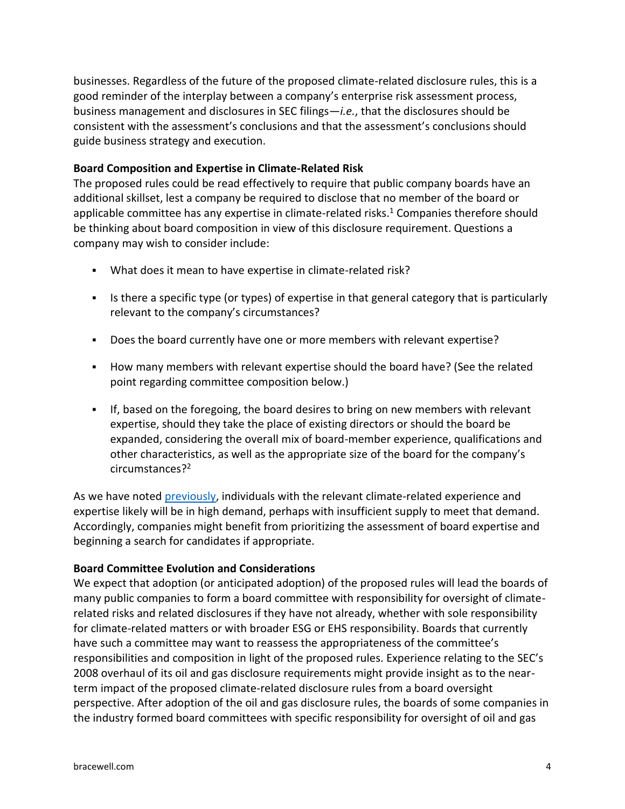businesses. Regardless of the future of the proposed climate-related disclosure rules, this is a good reminder of the interplay between a company's enterprise risk assessment process, business management and disclosures in SEC filings—*i.e.*, that the disclosures should be consistent with the assessment's conclusions and that the assessment's conclusions should guide business strategy and execution.

### **Board Composition and Expertise in Climate-Related Risk**

The proposed rules could be read effectively to require that public company boards have an additional skillset, lest a company be required to disclose that no member of the board or applicable committee has any expertise in climate-related risks.<sup>1</sup> Companies therefore should be thinking about board composition in view of this disclosure requirement. Questions a company may wish to consider include:

- What does it mean to have expertise in climate-related risk?
- Is there a specific type (or types) of expertise in that general category that is particularly relevant to the company's circumstances?
- Does the board currently have one or more members with relevant expertise?
- How many members with relevant expertise should the board have? (See the related point regarding committee composition below.)
- **•** If, based on the foregoing, the board desires to bring on new members with relevant expertise, should they take the place of existing directors or should the board be expanded, considering the overall mix of board-member experience, qualifications and other characteristics, as well as the appropriate size of the board for the company's circumstances?<sup>2</sup>

As we have noted [previously,](https://bracewell.com/sec-climate-disclosure-proposal) individuals with the relevant climate-related experience and expertise likely will be in high demand, perhaps with insufficient supply to meet that demand. Accordingly, companies might benefit from prioritizing the assessment of board expertise and beginning a search for candidates if appropriate.

#### **Board Committee Evolution and Considerations**

We expect that adoption (or anticipated adoption) of the proposed rules will lead the boards of many public companies to form a board committee with responsibility for oversight of climaterelated risks and related disclosures if they have not already, whether with sole responsibility for climate-related matters or with broader ESG or EHS responsibility. Boards that currently have such a committee may want to reassess the appropriateness of the committee's responsibilities and composition in light of the proposed rules. Experience relating to the SEC's 2008 overhaul of its oil and gas disclosure requirements might provide insight as to the nearterm impact of the proposed climate-related disclosure rules from a board oversight perspective. After adoption of the oil and gas disclosure rules, the boards of some companies in the industry formed board committees with specific responsibility for oversight of oil and gas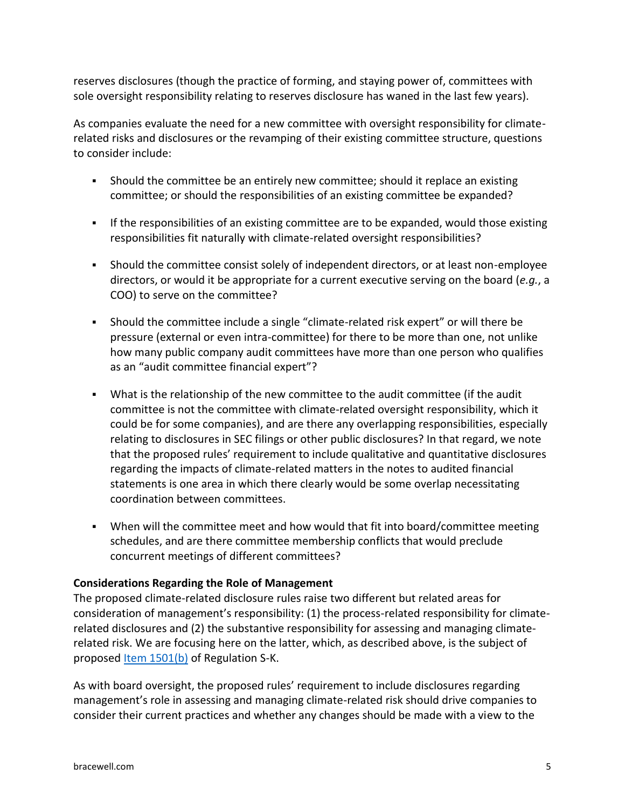reserves disclosures (though the practice of forming, and staying power of, committees with sole oversight responsibility relating to reserves disclosure has waned in the last few years).

As companies evaluate the need for a new committee with oversight responsibility for climaterelated risks and disclosures or the revamping of their existing committee structure, questions to consider include:

- Should the committee be an entirely new committee; should it replace an existing committee; or should the responsibilities of an existing committee be expanded?
- **•** If the responsibilities of an existing committee are to be expanded, would those existing responsibilities fit naturally with climate-related oversight responsibilities?
- Should the committee consist solely of independent directors, or at least non-employee directors, or would it be appropriate for a current executive serving on the board (*e.g.*, a COO) to serve on the committee?
- Should the committee include a single "climate-related risk expert" or will there be pressure (external or even intra-committee) for there to be more than one, not unlike how many public company audit committees have more than one person who qualifies as an "audit committee financial expert"?
- What is the relationship of the new committee to the audit committee (if the audit committee is not the committee with climate-related oversight responsibility, which it could be for some companies), and are there any overlapping responsibilities, especially relating to disclosures in SEC filings or other public disclosures? In that regard, we note that the proposed rules' requirement to include qualitative and quantitative disclosures regarding the impacts of climate-related matters in the notes to audited financial statements is one area in which there clearly would be some overlap necessitating coordination between committees.
- When will the committee meet and how would that fit into board/committee meeting schedules, and are there committee membership conflicts that would preclude concurrent meetings of different committees?

#### **Considerations Regarding the Role of Management**

The proposed climate-related disclosure rules raise two different but related areas for consideration of management's responsibility: (1) the process-related responsibility for climaterelated disclosures and (2) the substantive responsibility for assessing and managing climaterelated risk. We are focusing here on the latter, which, as described above, is the subject of proposed [Item 1501\(b\)](https://www.federalregister.gov/d/2022-06342/p-2278) of Regulation S-K.

As with board oversight, the proposed rules' requirement to include disclosures regarding management's role in assessing and managing climate-related risk should drive companies to consider their current practices and whether any changes should be made with a view to the